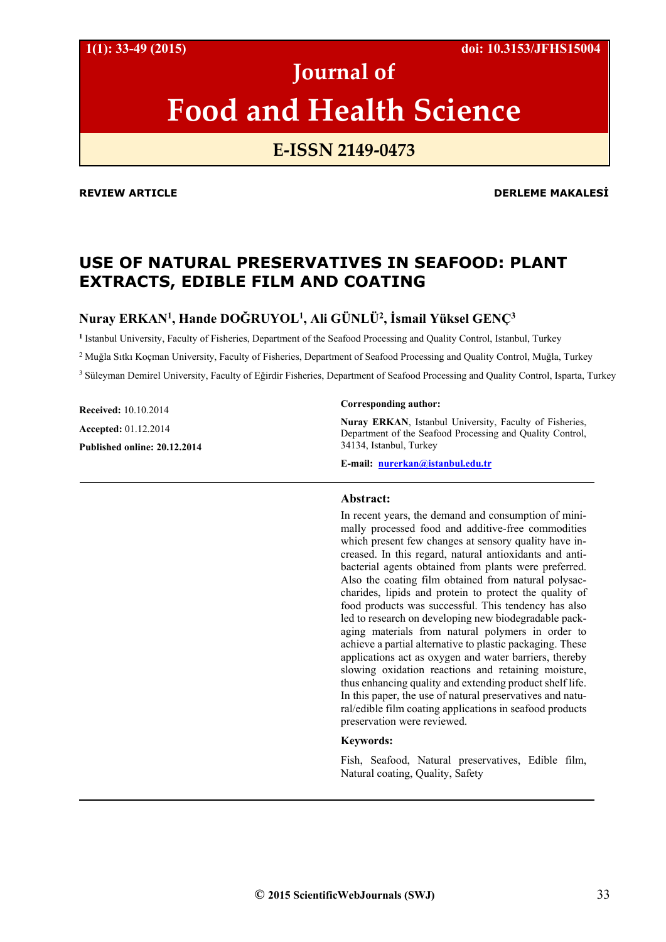**1(1): 33-49 (2015) doi: 10.3153/JFHS15004**

# **Journal of Food and Health Science**

# **E‐ISSN 2149‐0473**

#### **REVIEW ARTICLE DERLEME MAKALESİ**

# **USE OF NATURAL PRESERVATIVES IN SEAFOOD: PLANT EXTRACTS, EDIBLE FILM AND COATING**

# **Nuray ERKAN1 , Hande DOĞRUYOL1, Ali GÜNLÜ2, İsmail Yüksel GENÇ3**

**<sup>1</sup>**Istanbul University, Faculty of Fisheries, Department of the Seafood Processing and Quality Control, Istanbul, Turkey

2 Muğla Sıtkı Koçman University, Faculty of Fisheries, Department of Seafood Processing and Quality Control, Muğla, Turkey

<sup>3</sup> Süleyman Demirel University, Faculty of Eğirdir Fisheries, Department of Seafood Processing and Quality Control, Isparta, Turkey

**Received:** 10.10.2014 **Accepted:** 01.12.2014 **Published online: 20.12.2014** 

#### **Corresponding author:**

**Nuray ERKAN**, Istanbul University, Faculty of Fisheries, Department of the Seafood Processing and Quality Control, 34134, Istanbul, Turkey

**E-mail: nurerkan@istanbul.edu.tr**

#### **Abstract:**

In recent years, the demand and consumption of minimally processed food and additive-free commodities which present few changes at sensory quality have increased. In this regard, natural antioxidants and antibacterial agents obtained from plants were preferred. Also the coating film obtained from natural polysaccharides, lipids and protein to protect the quality of food products was successful. This tendency has also led to research on developing new biodegradable packaging materials from natural polymers in order to achieve a partial alternative to plastic packaging. These applications act as oxygen and water barriers, thereby slowing oxidation reactions and retaining moisture, thus enhancing quality and extending product shelf life. In this paper, the use of natural preservatives and natural/edible film coating applications in seafood products preservation were reviewed.

### **Keywords:**

Fish, Seafood, Natural preservatives, Edible film, Natural coating, Quality, Safety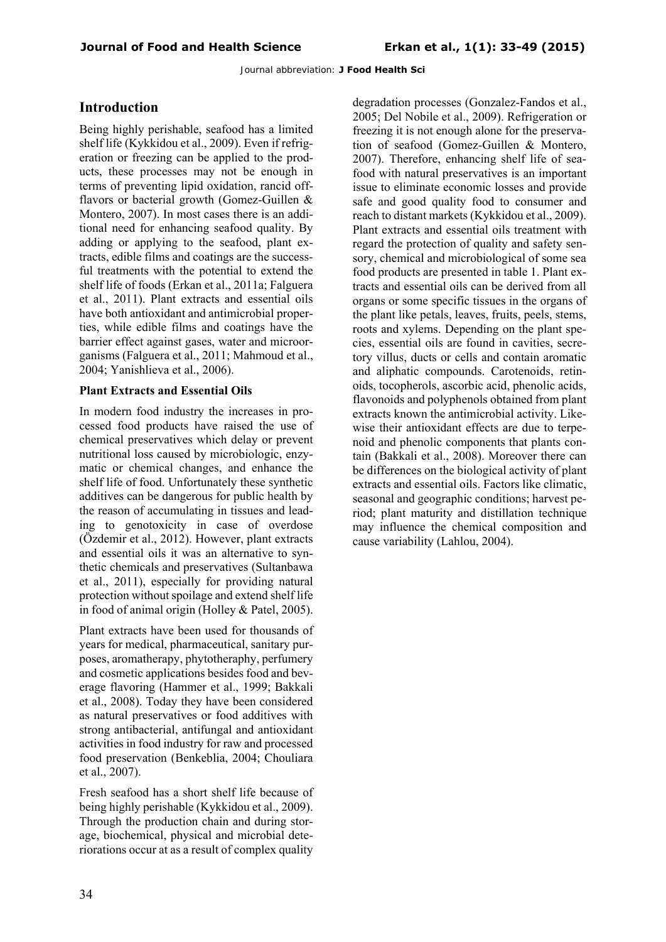# **Introduction**

Being highly perishable, seafood has a limited shelf life (Kykkidou et al., 2009). Even if refrigeration or freezing can be applied to the products, these processes may not be enough in terms of preventing lipid oxidation, rancid offflavors or bacterial growth (Gomez-Guillen & Montero, 2007). In most cases there is an additional need for enhancing seafood quality. By adding or applying to the seafood, plant extracts, edible films and coatings are the successful treatments with the potential to extend the shelf life of foods (Erkan et al., 2011a; Falguera et al., 2011). Plant extracts and essential oils have both antioxidant and antimicrobial properties, while edible films and coatings have the barrier effect against gases, water and microorganisms (Falguera et al., 2011; Mahmoud et al., 2004; Yanishlieva et al., 2006).

## **Plant Extracts and Essential Oils**

In modern food industry the increases in processed food products have raised the use of chemical preservatives which delay or prevent nutritional loss caused by microbiologic, enzymatic or chemical changes, and enhance the shelf life of food. Unfortunately these synthetic additives can be dangerous for public health by the reason of accumulating in tissues and leading to genotoxicity in case of overdose (Özdemir et al., 2012). However, plant extracts and essential oils it was an alternative to synthetic chemicals and preservatives (Sultanbawa et al., 2011), especially for providing natural protection without spoilage and extend shelf life in food of animal origin (Holley & Patel, 2005).

Plant extracts have been used for thousands of years for medical, pharmaceutical, sanitary purposes, aromatherapy, phytotheraphy, perfumery and cosmetic applications besides food and beverage flavoring (Hammer et al., 1999; Bakkali et al., 2008). Today they have been considered as natural preservatives or food additives with strong antibacterial, antifungal and antioxidant activities in food industry for raw and processed food preservation (Benkeblia, 2004; Chouliara et al., 2007).

Fresh seafood has a short shelf life because of being highly perishable (Kykkidou et al., 2009). Through the production chain and during storage, biochemical, physical and microbial deteriorations occur at as a result of complex quality

degradation processes (Gonzalez-Fandos et al., 2005; Del Nobile et al., 2009). Refrigeration or freezing it is not enough alone for the preservation of seafood (Gomez-Guillen & Montero, 2007). Therefore, enhancing shelf life of seafood with natural preservatives is an important issue to eliminate economic losses and provide safe and good quality food to consumer and reach to distant markets (Kykkidou et al., 2009). Plant extracts and essential oils treatment with regard the protection of quality and safety sensory, chemical and microbiological of some sea food products are presented in table 1. Plant extracts and essential oils can be derived from all organs or some specific tissues in the organs of the plant like petals, leaves, fruits, peels, stems, roots and xylems. Depending on the plant species, essential oils are found in cavities, secretory villus, ducts or cells and contain aromatic and aliphatic compounds. Carotenoids, retinoids, tocopherols, ascorbic acid, phenolic acids, flavonoids and polyphenols obtained from plant extracts known the antimicrobial activity. Likewise their antioxidant effects are due to terpenoid and phenolic components that plants contain (Bakkali et al., 2008). Moreover there can be differences on the biological activity of plant extracts and essential oils. Factors like climatic, seasonal and geographic conditions; harvest period; plant maturity and distillation technique may influence the chemical composition and cause variability (Lahlou, 2004).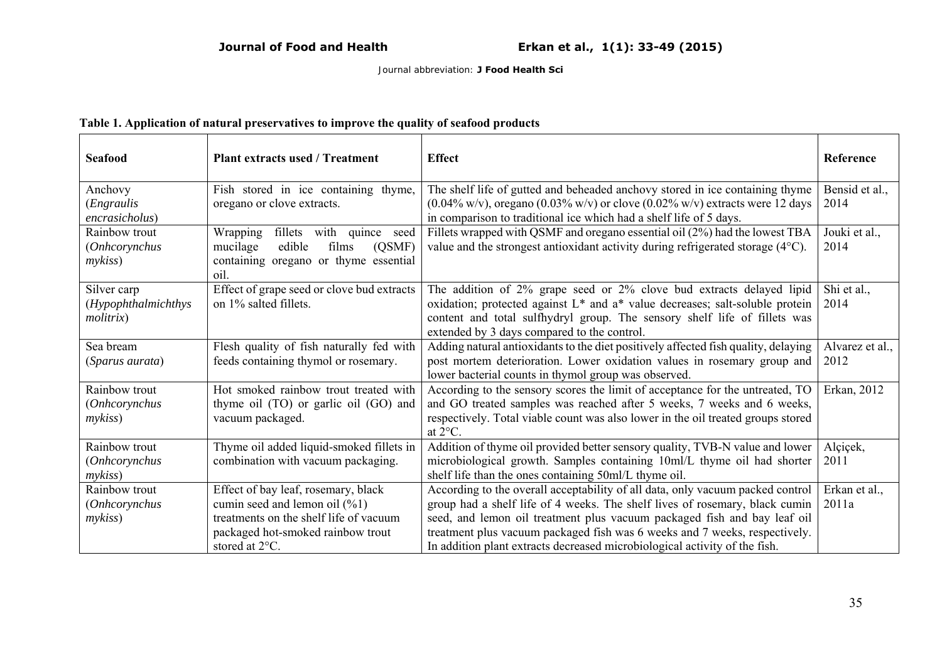# **Table 1. Application of natural preservatives to improve the quality of seafood products**

| <b>Seafood</b>         | <b>Plant extracts used / Treatment</b>            | <b>Effect</b>                                                                                                 | Reference       |
|------------------------|---------------------------------------------------|---------------------------------------------------------------------------------------------------------------|-----------------|
| Anchovy                | Fish stored in ice containing thyme,              | The shelf life of gutted and beheaded anchovy stored in ice containing thyme                                  | Bensid et al.,  |
| (Engraulis             | oregano or clove extracts.                        | $(0.04\% \text{ w/v})$ , oregano $(0.03\% \text{ w/v})$ or clove $(0.02\% \text{ w/v})$ extracts were 12 days | 2014            |
| encrasicholus)         |                                                   | in comparison to traditional ice which had a shelf life of 5 days.                                            |                 |
| Rainbow trout          | with quince<br><b>Wrapping</b><br>fillets<br>seed | Fillets wrapped with QSMF and oregano essential oil (2%) had the lowest TBA                                   | Jouki et al.,   |
| (Onhcorynchus          | edible<br>films<br>mucilage<br>(QSMF)             | value and the strongest antioxidant activity during refrigerated storage (4°C).                               | 2014            |
| mykiss                 | containing oregano or thyme essential<br>oil.     |                                                                                                               |                 |
| Silver carp            | Effect of grape seed or clove bud extracts        | The addition of 2% grape seed or 2% clove bud extracts delayed lipid                                          | Shi et al.,     |
| (Hypophthalmichthys    | on 1% salted fillets.                             | oxidation; protected against L* and a* value decreases; salt-soluble protein                                  | 2014            |
| molitrix               |                                                   | content and total sulfhydryl group. The sensory shelf life of fillets was                                     |                 |
|                        |                                                   | extended by 3 days compared to the control.                                                                   |                 |
| Sea bream              | Flesh quality of fish naturally fed with          | Adding natural antioxidants to the diet positively affected fish quality, delaying                            | Alvarez et al., |
| <i>(Sparus aurata)</i> | feeds containing thymol or rosemary.              | post mortem deterioration. Lower oxidation values in rosemary group and                                       | 2012            |
|                        |                                                   | lower bacterial counts in thymol group was observed.                                                          |                 |
| Rainbow trout          | Hot smoked rainbow trout treated with             | According to the sensory scores the limit of acceptance for the untreated, TO                                 | Erkan, 2012     |
| (Onhcorynchus          | thyme oil (TO) or garlic oil (GO) and             | and GO treated samples was reached after 5 weeks, 7 weeks and 6 weeks,                                        |                 |
| <i>mykiss</i> )        | vacuum packaged.                                  | respectively. Total viable count was also lower in the oil treated groups stored<br>at 2°C.                   |                 |
| Rainbow trout          | Thyme oil added liquid-smoked fillets in          | Addition of thyme oil provided better sensory quality, TVB-N value and lower                                  | Alçiçek,        |
| <i>(Onhcorynchus</i>   | combination with vacuum packaging.                | microbiological growth. Samples containing 10ml/L thyme oil had shorter                                       | 2011            |
| mykiss                 |                                                   | shelf life than the ones containing 50ml/L thyme oil.                                                         |                 |
| Rainbow trout          | Effect of bay leaf, rosemary, black               | According to the overall acceptability of all data, only vacuum packed control                                | Erkan et al.,   |
| (Onhcorynchus          | cumin seed and lemon oil $(\frac{9}{1})$          | group had a shelf life of 4 weeks. The shelf lives of rosemary, black cumin                                   | 2011a           |
| mykiss                 | treatments on the shelf life of vacuum            | seed, and lemon oil treatment plus vacuum packaged fish and bay leaf oil                                      |                 |
|                        | packaged hot-smoked rainbow trout                 | treatment plus vacuum packaged fish was 6 weeks and 7 weeks, respectively.                                    |                 |
|                        | stored at $2^{\circ}$ C.                          | In addition plant extracts decreased microbiological activity of the fish.                                    |                 |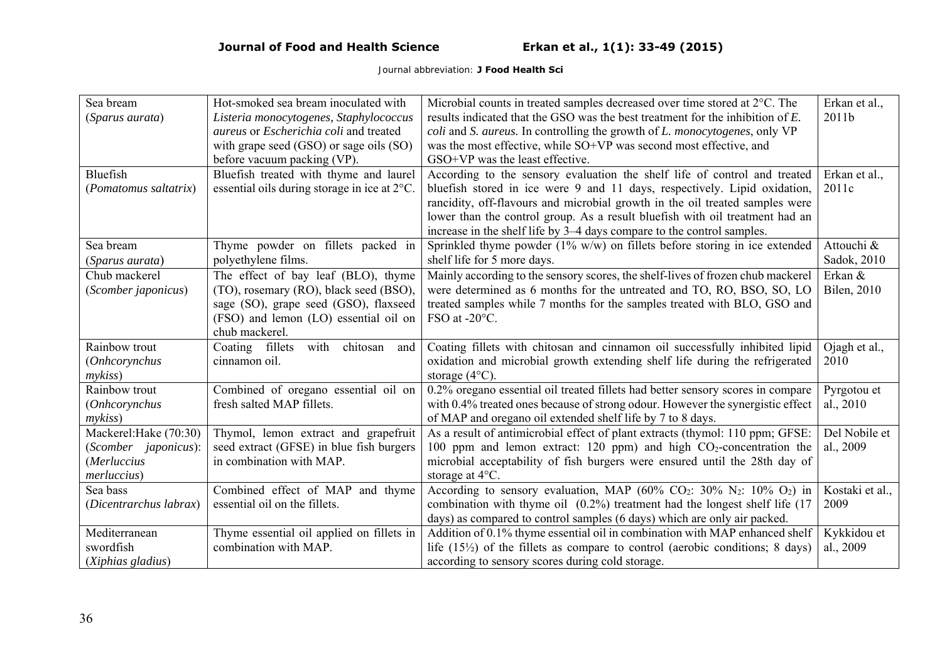| Sea bream                    | Hot-smoked sea bream inoculated with         | Microbial counts in treated samples decreased over time stored at 2°C. The                                  | Erkan et al.,       |
|------------------------------|----------------------------------------------|-------------------------------------------------------------------------------------------------------------|---------------------|
| (Sparus aurata)              | Listeria monocytogenes, Staphylococcus       | results indicated that the GSO was the best treatment for the inhibition of E.                              | 2011b               |
|                              | aureus or Escherichia coli and treated       | coli and S. aureus. In controlling the growth of L. monocytogenes, only VP                                  |                     |
|                              | with grape seed (GSO) or sage oils (SO)      | was the most effective, while SO+VP was second most effective, and                                          |                     |
|                              | before vacuum packing (VP).                  | GSO+VP was the least effective.                                                                             |                     |
| <b>Bluefish</b>              | Bluefish treated with thyme and laurel       | According to the sensory evaluation the shelf life of control and treated                                   | Erkan et al.,       |
| (Pomatomus saltatrix)        | essential oils during storage in ice at 2°C. | bluefish stored in ice were 9 and 11 days, respectively. Lipid oxidation,                                   | 2011c               |
|                              |                                              | rancidity, off-flavours and microbial growth in the oil treated samples were                                |                     |
|                              |                                              | lower than the control group. As a result bluefish with oil treatment had an                                |                     |
|                              |                                              | increase in the shelf life by 3–4 days compare to the control samples.                                      |                     |
| Sea bream                    | Thyme powder on fillets packed in            | Sprinkled thyme powder ( $1\%$ w/w) on fillets before storing in ice extended                               | Attouchi &          |
| (Sparus aurata)              | polyethylene films.                          | shelf life for 5 more days.                                                                                 | Sadok, 2010         |
| Chub mackerel                | The effect of bay leaf (BLO), thyme          | Mainly according to the sensory scores, the shelf-lives of frozen chub mackerel                             | Erkan &             |
| (Scomber japonicus)          | (TO), rosemary (RO), black seed (BSO),       | were determined as 6 months for the untreated and TO, RO, BSO, SO, LO                                       | <b>Bilen</b> , 2010 |
|                              | sage (SO), grape seed (GSO), flaxseed        | treated samples while 7 months for the samples treated with BLO, GSO and                                    |                     |
|                              | (FSO) and lemon (LO) essential oil on        | FSO at -20°C.                                                                                               |                     |
|                              | chub mackerel.                               |                                                                                                             |                     |
| Rainbow trout                | with<br>chitosan<br>Coating fillets<br>and   | Coating fillets with chitosan and cinnamon oil successfully inhibited lipid                                 | Ojagh et al.,       |
| (Onhcorynchus                | cinnamon oil.                                | oxidation and microbial growth extending shelf life during the refrigerated                                 | 2010                |
| $m\nu k$ <i>iss</i> )        |                                              | storage $(4^{\circ}C)$ .                                                                                    |                     |
| Rainbow trout                | Combined of oregano essential oil on         | 0.2% oregano essential oil treated fillets had better sensory scores in compare                             | Pyrgotou et         |
| <i>(Onhcorynchus</i>         | fresh salted MAP fillets.                    | with 0.4% treated ones because of strong odour. However the synergistic effect                              | al., 2010           |
| $m\nu k$ <i>iss</i> )        |                                              | of MAP and oregano oil extended shelf life by 7 to 8 days.                                                  |                     |
| Mackerel: Hake (70:30)       | Thymol, lemon extract and grapefruit         | As a result of antimicrobial effect of plant extracts (thymol: 110 ppm; GFSE:                               | Del Nobile et       |
| (Scomber <i>japonicus</i> ): | seed extract (GFSE) in blue fish burgers     | 100 ppm and lemon extract: 120 ppm) and high $CO2$ -concentration the                                       | al., 2009           |
| (Merluccius                  | in combination with MAP.                     | microbial acceptability of fish burgers were ensured until the 28th day of                                  |                     |
| merluccius)                  |                                              | storage at $4^{\circ}$ C.                                                                                   |                     |
| Sea bass                     | Combined effect of MAP and thyme             | According to sensory evaluation, MAP $(60\%$ CO <sub>2</sub> : 30% N <sub>2</sub> : 10% O <sub>2</sub> ) in | Kostaki et al.,     |
| (Dicentrarchus labrax)       | essential oil on the fillets.                | combination with thyme oil $(0.2\%)$ treatment had the longest shelf life $(17)$                            | 2009                |
|                              |                                              | days) as compared to control samples (6 days) which are only air packed.                                    |                     |
| Mediterranean                | Thyme essential oil applied on fillets in    | Addition of 0.1% thyme essential oil in combination with MAP enhanced shelf                                 | Kykkidou et         |
| swordfish                    | combination with MAP.                        | life $(15\frac{1}{2})$ of the fillets as compare to control (aerobic conditions; 8 days)                    | al., 2009           |
| (Xiphias gladius)            |                                              | according to sensory scores during cold storage.                                                            |                     |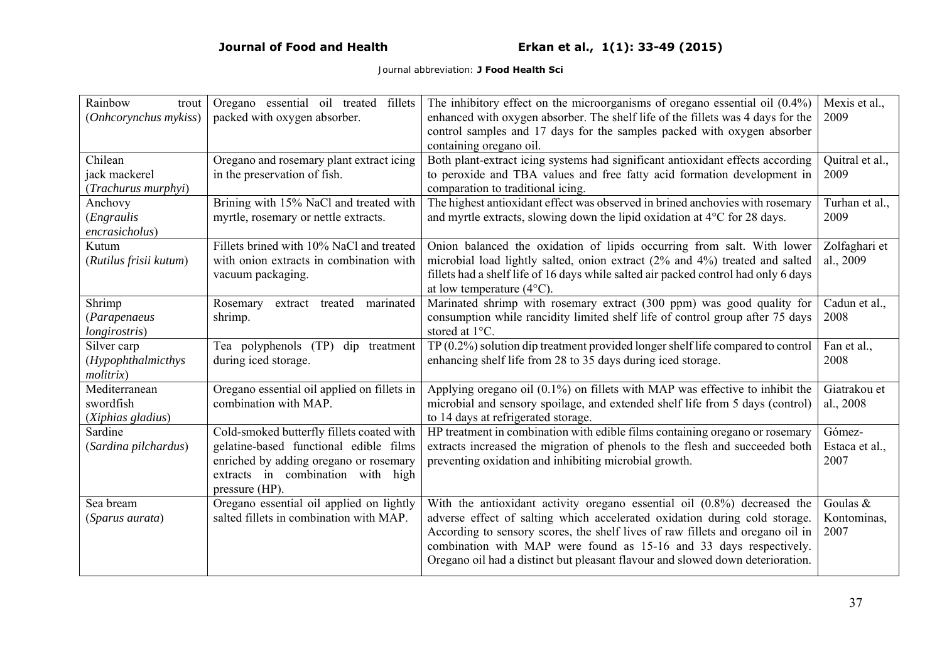| Rainbow<br>trout<br>(Onhcorynchus mykiss)        | Oregano essential oil treated fillets<br>packed with oxygen absorber.                                                                                                                | The inhibitory effect on the microorganisms of oregano essential oil $(0.4\%)$<br>enhanced with oxygen absorber. The shelf life of the fillets was 4 days for the<br>control samples and 17 days for the samples packed with oxygen absorber<br>containing oregano oil.                                                                                                                             | Mexis et al.,<br>2009            |
|--------------------------------------------------|--------------------------------------------------------------------------------------------------------------------------------------------------------------------------------------|-----------------------------------------------------------------------------------------------------------------------------------------------------------------------------------------------------------------------------------------------------------------------------------------------------------------------------------------------------------------------------------------------------|----------------------------------|
| Chilean<br>jack mackerel<br>(Trachurus murphyi)  | Oregano and rosemary plant extract icing<br>in the preservation of fish.                                                                                                             | Both plant-extract icing systems had significant antioxidant effects according<br>to peroxide and TBA values and free fatty acid formation development in<br>comparation to traditional icing.                                                                                                                                                                                                      | Quitral et al.,<br>2009          |
| Anchovy<br><i>(Engraulis</i> )<br>encrasicholus) | Brining with 15% NaCl and treated with<br>myrtle, rosemary or nettle extracts.                                                                                                       | The highest antioxidant effect was observed in brined anchovies with rosemary<br>and myrtle extracts, slowing down the lipid oxidation at 4°C for 28 days.                                                                                                                                                                                                                                          | Turhan et al.,<br>2009           |
| Kutum<br>(Rutilus frisii kutum)                  | Fillets brined with 10% NaCl and treated<br>with onion extracts in combination with<br>vacuum packaging.                                                                             | Onion balanced the oxidation of lipids occurring from salt. With lower<br>microbial load lightly salted, onion extract (2% and 4%) treated and salted<br>fillets had a shelf life of 16 days while salted air packed control had only 6 days<br>at low temperature $(4^{\circ}C)$ .                                                                                                                 | Zolfaghari et<br>al., 2009       |
| Shrimp<br>(Parapenaeus<br>longirostris)          | marinated<br>treated<br>Rosemary<br>extract<br>shrimp.                                                                                                                               | Marinated shrimp with rosemary extract (300 ppm) was good quality for<br>consumption while rancidity limited shelf life of control group after 75 days<br>stored at 1°C.                                                                                                                                                                                                                            | Cadun et al.,<br>2008            |
| Silver carp<br>(Hypophthalmicthys<br>molitrix    | Tea polyphenols (TP)<br>dip treatment<br>during iced storage.                                                                                                                        | $TP(0.2\%)$ solution dip treatment provided longer shelf life compared to control<br>enhancing shelf life from 28 to 35 days during iced storage.                                                                                                                                                                                                                                                   | Fan et al.,<br>2008              |
| Mediterranean<br>swordfish<br>(Xiphias gladius)  | Oregano essential oil applied on fillets in<br>combination with MAP.                                                                                                                 | Applying oregano oil $(0.1\%)$ on fillets with MAP was effective to inhibit the<br>microbial and sensory spoilage, and extended shelf life from 5 days (control)<br>to 14 days at refrigerated storage.                                                                                                                                                                                             | Giatrakou et<br>al., 2008        |
| Sardine<br>(Sardina pilchardus)                  | Cold-smoked butterfly fillets coated with<br>gelatine-based functional edible films<br>enriched by adding oregano or rosemary<br>extracts in combination with high<br>pressure (HP). | HP treatment in combination with edible films containing oregano or rosemary<br>extracts increased the migration of phenols to the flesh and succeeded both<br>preventing oxidation and inhibiting microbial growth.                                                                                                                                                                                | Gómez-<br>Estaca et al.,<br>2007 |
| Sea bream<br>(Sparus aurata)                     | Oregano essential oil applied on lightly<br>salted fillets in combination with MAP.                                                                                                  | With the antioxidant activity oregano essential oil $(0.8\%)$ decreased the<br>adverse effect of salting which accelerated oxidation during cold storage.<br>According to sensory scores, the shelf lives of raw fillets and oregano oil in<br>combination with MAP were found as 15-16 and 33 days respectively.<br>Oregano oil had a distinct but pleasant flavour and slowed down deterioration. | Goulas &<br>Kontominas,<br>2007  |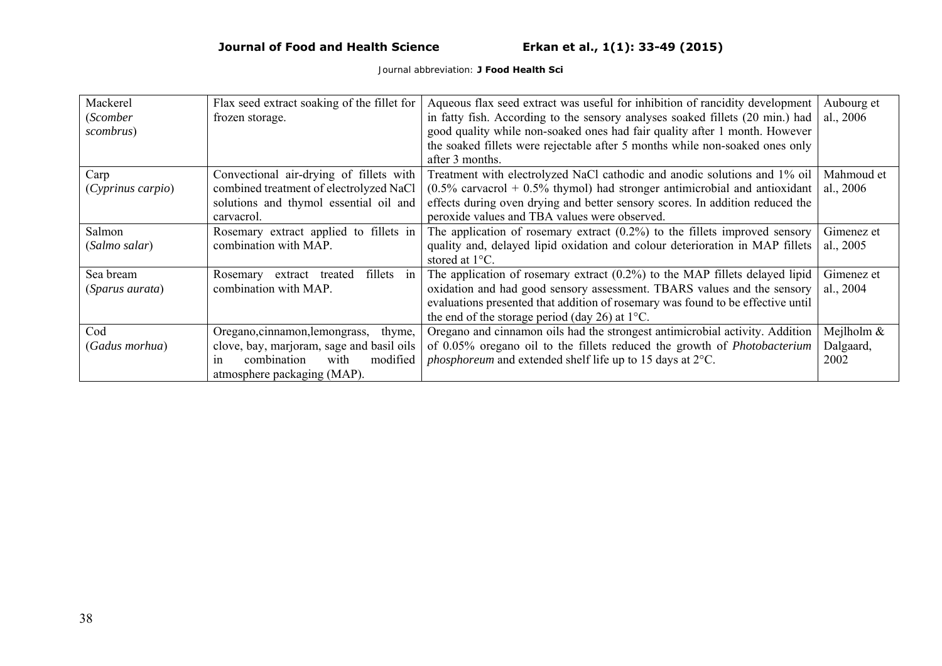| Mackerel               | Flax seed extract soaking of the fillet for | Aqueous flax seed extract was useful for inhibition of rancidity development    | Aubourg et  |
|------------------------|---------------------------------------------|---------------------------------------------------------------------------------|-------------|
| (Scomber               | frozen storage.                             | in fatty fish. According to the sensory analyses soaked fillets (20 min.) had   | al., $2006$ |
| scombrus)              |                                             | good quality while non-soaked ones had fair quality after 1 month. However      |             |
|                        |                                             | the soaked fillets were rejectable after 5 months while non-soaked ones only    |             |
|                        |                                             | after 3 months.                                                                 |             |
| Carp                   | Convectional air-drying of fillets with     | Treatment with electrolyzed NaCl cathodic and anodic solutions and 1% oil       | Mahmoud et  |
| (Cyprinus carpio)      | combined treatment of electrolyzed NaCl     | $(0.5\%$ carvacrol + 0.5% thymol) had stronger antimicrobial and antioxidant    | al., $2006$ |
|                        | solutions and thymol essential oil and      | effects during oven drying and better sensory scores. In addition reduced the   |             |
|                        | carvacrol.                                  | peroxide values and TBA values were observed.                                   |             |
| Salmon                 | Rosemary extract applied to fillets in      | The application of rosemary extract $(0.2\%)$ to the fillets improved sensory   | Gimenez et  |
| (Salmo salar)          | combination with MAP.                       | quality and, delayed lipid oxidation and colour deterioration in MAP fillets    | al., $2005$ |
|                        |                                             | stored at 1°C.                                                                  |             |
| Sea bream              | fillets in<br>Rosemary<br>extract treated   | The application of rosemary extract $(0.2\%)$ to the MAP fillets delayed lipid  | Gimenez et  |
| <i>(Sparus aurata)</i> | combination with MAP.                       | oxidation and had good sensory assessment. TBARS values and the sensory         | al., 2004   |
|                        |                                             | evaluations presented that addition of rosemary was found to be effective until |             |
|                        |                                             | the end of the storage period (day 26) at $1^{\circ}$ C.                        |             |
| Cod                    | Oregano, cinnamon, lemongrass,<br>thyme,    | Oregano and cinnamon oils had the strongest antimicrobial activity. Addition    | Mejlholm &  |
| (Gadus morhua)         | clove, bay, marjoram, sage and basil oils   | of 0.05% oregano oil to the fillets reduced the growth of <i>Photobacterium</i> | Dalgaard,   |
|                        | combination<br>with<br>modified<br>1n       | <i>phosphoreum</i> and extended shelf life up to 15 days at 2°C.                | 2002        |
|                        | atmosphere packaging (MAP).                 |                                                                                 |             |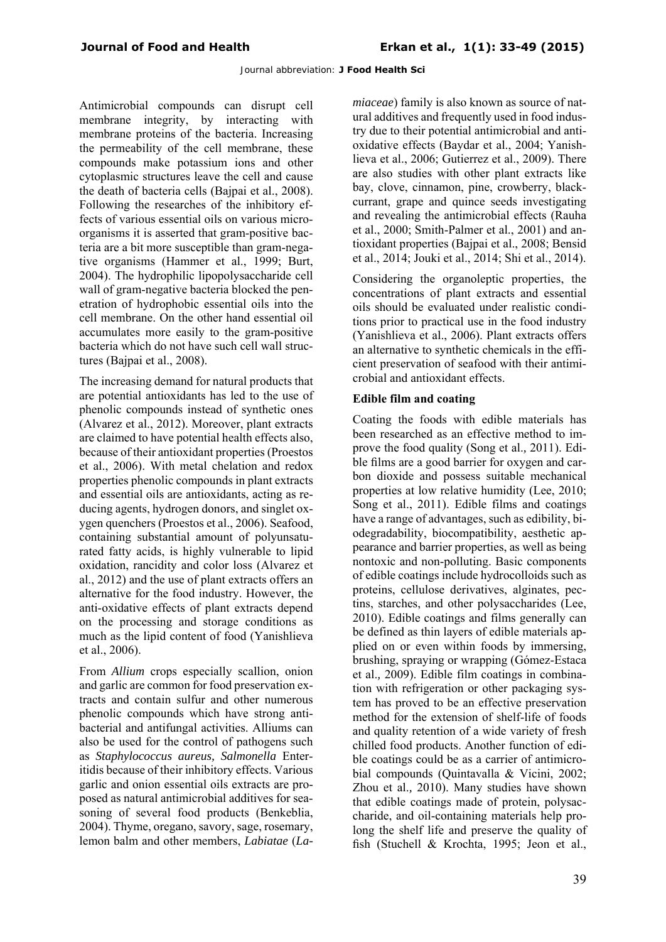Antimicrobial compounds can disrupt cell membrane integrity, by interacting with membrane proteins of the bacteria. Increasing the permeability of the cell membrane, these compounds make potassium ions and other cytoplasmic structures leave the cell and cause the death of bacteria cells (Bajpai et al., 2008). Following the researches of the inhibitory effects of various essential oils on various microorganisms it is asserted that gram-positive bacteria are a bit more susceptible than gram-negative organisms (Hammer et al., 1999; Burt, 2004). The hydrophilic lipopolysaccharide cell wall of gram-negative bacteria blocked the penetration of hydrophobic essential oils into the cell membrane. On the other hand essential oil accumulates more easily to the gram-positive bacteria which do not have such cell wall structures (Bajpai et al., 2008).

The increasing demand for natural products that are potential antioxidants has led to the use of phenolic compounds instead of synthetic ones (Alvarez et al., 2012). Moreover, plant extracts are claimed to have potential health effects also, because of their antioxidant properties (Proestos et al., 2006). With metal chelation and redox properties phenolic compounds in plant extracts and essential oils are antioxidants, acting as reducing agents, hydrogen donors, and singlet oxygen quenchers (Proestos et al., 2006). Seafood, containing substantial amount of polyunsaturated fatty acids, is highly vulnerable to lipid oxidation, rancidity and color loss (Alvarez et al., 2012) and the use of plant extracts offers an alternative for the food industry. However, the anti-oxidative effects of plant extracts depend on the processing and storage conditions as much as the lipid content of food (Yanishlieva et al., 2006).

From *Allium* crops especially scallion, onion and garlic are common for food preservation extracts and contain sulfur and other numerous phenolic compounds which have strong antibacterial and antifungal activities. Alliums can also be used for the control of pathogens such as *Staphylococcus aureus, Salmonella* Enteritidis because of their inhibitory effects. Various garlic and onion essential oils extracts are proposed as natural antimicrobial additives for seasoning of several food products (Benkeblia, 2004). Thyme, oregano, savory, sage, rosemary, lemon balm and other members, *Labiatae* (*La-* *miaceae*) family is also known as source of natural additives and frequently used in food industry due to their potential antimicrobial and antioxidative effects (Baydar et al., 2004; Yanishlieva et al., 2006; Gutierrez et al., 2009). There are also studies with other plant extracts like bay, clove, cinnamon, pine, crowberry, blackcurrant, grape and quince seeds investigating and revealing the antimicrobial effects (Rauha et al., 2000; Smith-Palmer et al., 2001) and antioxidant properties (Bajpai et al., 2008; Bensid et al., 2014; Jouki et al., 2014; Shi et al., 2014).

Considering the organoleptic properties, the concentrations of plant extracts and essential oils should be evaluated under realistic conditions prior to practical use in the food industry (Yanishlieva et al., 2006). Plant extracts offers an alternative to synthetic chemicals in the efficient preservation of seafood with their antimicrobial and antioxidant effects.

## **Edible film and coating**

Coating the foods with edible materials has been researched as an effective method to improve the food quality (Song et al.*,* 2011). Edible films are a good barrier for oxygen and carbon dioxide and possess suitable mechanical properties at low relative humidity (Lee, 2010; Song et al., 2011). Edible films and coatings have a range of advantages, such as edibility, biodegradability, biocompatibility, aesthetic appearance and barrier properties, as well as being nontoxic and non-polluting. Basic components of edible coatings include hydrocolloids such as proteins, cellulose derivatives, alginates, pectins, starches, and other polysaccharides (Lee, 2010). Edible coatings and films generally can be defined as thin layers of edible materials applied on or even within foods by immersing, brushing, spraying or wrapping (Gómez-Estaca et al.*,* 2009). Edible film coatings in combination with refrigeration or other packaging system has proved to be an effective preservation method for the extension of shelf-life of foods and quality retention of a wide variety of fresh chilled food products. Another function of edible coatings could be as a carrier of antimicrobial compounds (Quintavalla & Vicini, 2002; Zhou et al.*,* 2010). Many studies have shown that edible coatings made of protein, polysaccharide, and oil-containing materials help prolong the shelf life and preserve the quality of fish (Stuchell & Krochta, 1995; Jeon et al.,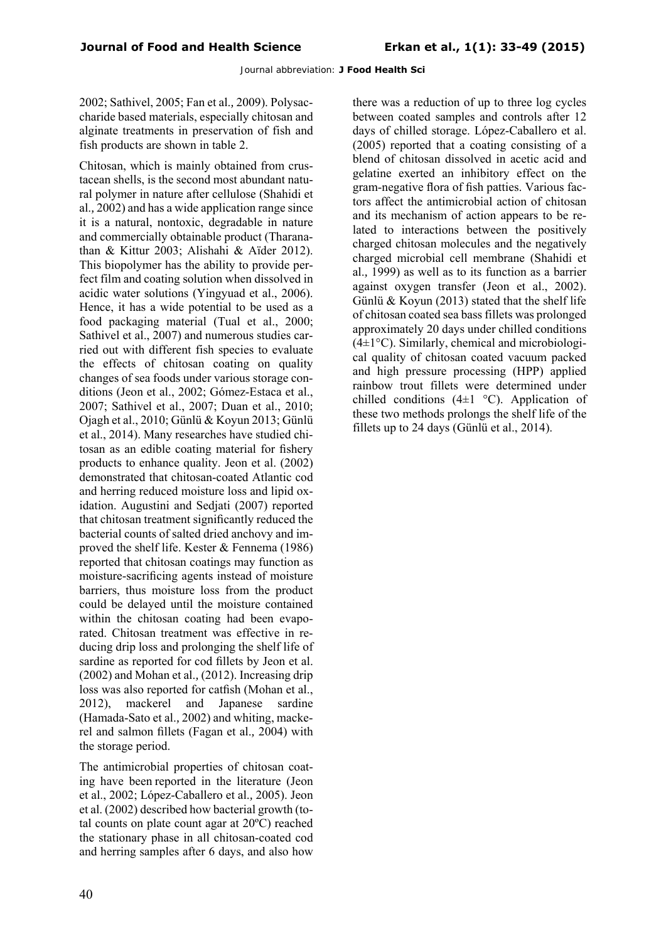2002; Sathivel, 2005; Fan et al.*,* 2009). Polysaccharide based materials, especially chitosan and alginate treatments in preservation of fish and fish products are shown in table 2.

Chitosan, which is mainly obtained from crustacean shells, is the second most abundant natural polymer in nature after cellulose (Shahidi et al.*,* 2002) and has a wide application range since it is a natural, nontoxic, degradable in nature and commercially obtainable product (Tharanathan & Kittur 2003; Alishahi & Aïder 2012). This biopolymer has the ability to provide perfect film and coating solution when dissolved in acidic water solutions (Yingyuad et al., 2006). Hence, it has a wide potential to be used as a food packaging material (Tual et al., 2000; Sathivel et al., 2007) and numerous studies carried out with different fish species to evaluate the effects of chitosan coating on quality changes of sea foods under various storage conditions (Jeon et al., 2002; Gómez-Estaca et al., 2007; Sathivel et al., 2007; Duan et al., 2010; Ojagh et al., 2010; Günlü & Koyun 2013; Günlü et al., 2014). Many researches have studied chitosan as an edible coating material for fishery products to enhance quality. Jeon et al. (2002) demonstrated that chitosan-coated Atlantic cod and herring reduced moisture loss and lipid oxidation. Augustini and Sedjati (2007) reported that chitosan treatment significantly reduced the bacterial counts of salted dried anchovy and improved the shelf life. Kester & Fennema (1986) reported that chitosan coatings may function as moisture-sacrificing agents instead of moisture barriers, thus moisture loss from the product could be delayed until the moisture contained within the chitosan coating had been evaporated. Chitosan treatment was effective in reducing drip loss and prolonging the shelf life of sardine as reported for cod fillets by Jeon et al. (2002) and Mohan et al.*,* (2012). Increasing drip loss was also reported for catfish (Mohan et al., 2012), mackerel and Japanese sardine (Hamada-Sato et al.*,* 2002) and whiting, mackerel and salmon fillets (Fagan et al.*,* 2004) with the storage period.

The antimicrobial properties of chitosan coating have been reported in the literature (Jeon et al., 2002; López-Caballero et al.*,* 2005). Jeon et al. (2002) described how bacterial growth (total counts on plate count agar at 20ºC) reached the stationary phase in all chitosan-coated cod and herring samples after 6 days, and also how

there was a reduction of up to three log cycles between coated samples and controls after 12 days of chilled storage. López-Caballero et al. (2005) reported that a coating consisting of a blend of chitosan dissolved in acetic acid and gelatine exerted an inhibitory effect on the gram-negative flora of fish patties. Various factors affect the antimicrobial action of chitosan and its mechanism of action appears to be related to interactions between the positively charged chitosan molecules and the negatively charged microbial cell membrane (Shahidi et al.*,* 1999) as well as to its function as a barrier against oxygen transfer (Jeon et al., 2002). Günlü & Koyun (2013) stated that the shelf life of chitosan coated sea bass fillets was prolonged approximately 20 days under chilled conditions  $(4\pm1\degree C)$ . Similarly, chemical and microbiological quality of chitosan coated vacuum packed and high pressure processing (HPP) applied rainbow trout fillets were determined under chilled conditions  $(4\pm 1\degree C)$ . Application of these two methods prolongs the shelf life of the fillets up to 24 days (Günlü et al., 2014).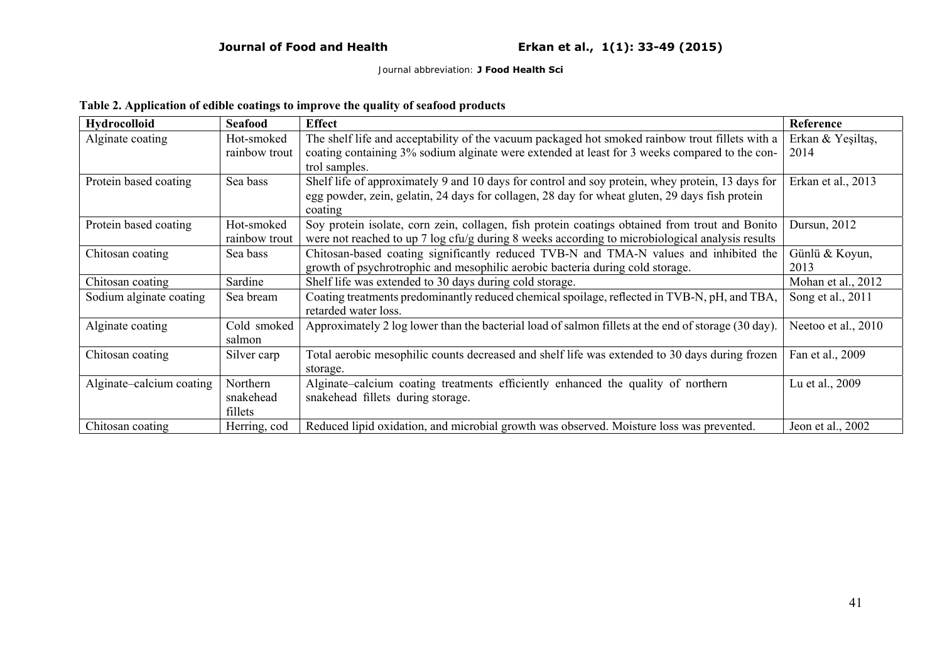# **Table 2. Application of edible coatings to improve the quality of seafood products**

| <b>Hydrocolloid</b>      | <b>Seafood</b> | <b>Effect</b>                                                                                       | Reference           |
|--------------------------|----------------|-----------------------------------------------------------------------------------------------------|---------------------|
| Alginate coating         | Hot-smoked     | The shelf life and acceptability of the vacuum packaged hot smoked rainbow trout fillets with a     | Erkan & Yeşiltaş,   |
|                          | rainbow trout  | coating containing 3% sodium alginate were extended at least for 3 weeks compared to the con-       | 2014                |
|                          |                | trol samples.                                                                                       |                     |
| Protein based coating    | Sea bass       | Shelf life of approximately 9 and 10 days for control and soy protein, whey protein, 13 days for    | Erkan et al., 2013  |
|                          |                | egg powder, zein, gelatin, 24 days for collagen, 28 day for wheat gluten, 29 days fish protein      |                     |
|                          |                | coating                                                                                             |                     |
| Protein based coating    | Hot-smoked     | Soy protein isolate, corn zein, collagen, fish protein coatings obtained from trout and Bonito      | Dursun, 2012        |
|                          | rainbow trout  | were not reached to up 7 log cfu/g during 8 weeks according to microbiological analysis results     |                     |
| Chitosan coating         | Sea bass       | Chitosan-based coating significantly reduced TVB-N and TMA-N values and inhibited the               | Günlü & Koyun,      |
|                          |                | growth of psychrotrophic and mesophilic aerobic bacteria during cold storage.                       | 2013                |
| Chitosan coating         | Sardine        | Shelf life was extended to 30 days during cold storage.                                             | Mohan et al., 2012  |
| Sodium alginate coating  | Sea bream      | Coating treatments predominantly reduced chemical spoilage, reflected in TVB-N, pH, and TBA,        | Song et al., 2011   |
|                          |                | retarded water loss.                                                                                |                     |
| Alginate coating         | Cold smoked    | Approximately 2 log lower than the bacterial load of salmon fillets at the end of storage (30 day). | Neetoo et al., 2010 |
|                          | salmon         |                                                                                                     |                     |
| Chitosan coating         | Silver carp    | Total aerobic mesophilic counts decreased and shelf life was extended to 30 days during frozen      | Fan et al., 2009    |
|                          |                | storage.                                                                                            |                     |
| Alginate-calcium coating | Northern       | Alginate-calcium coating treatments efficiently enhanced the quality of northern                    | Lu et al., 2009     |
|                          | snakehead      | snakehead fillets during storage.                                                                   |                     |
|                          | fillets        |                                                                                                     |                     |
| Chitosan coating         | Herring, cod   | Reduced lipid oxidation, and microbial growth was observed. Moisture loss was prevented.            | Jeon et al., 2002   |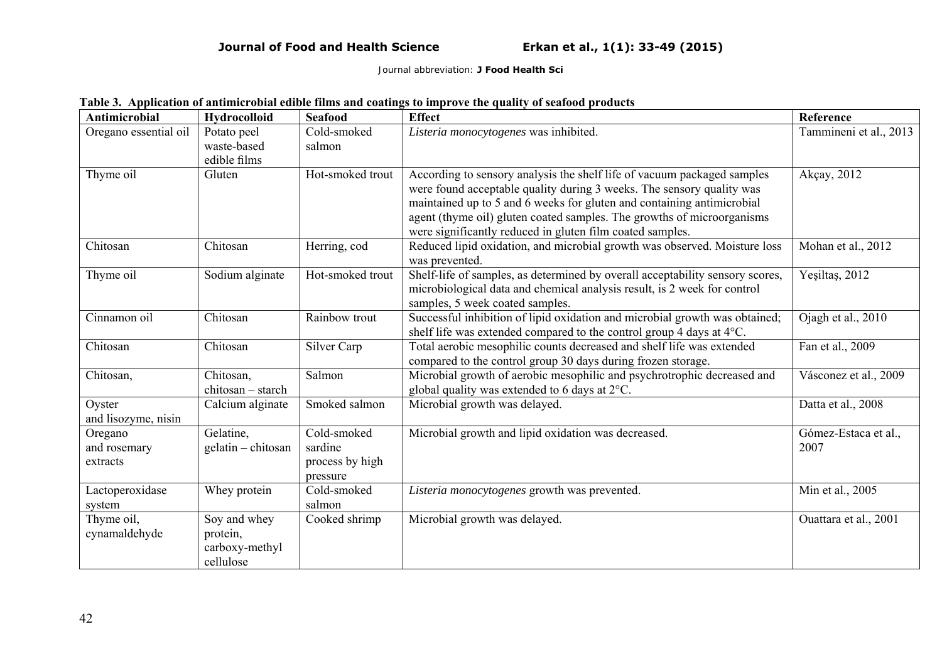|  | Table 3. Application of antimicrobial edible films and coatings to improve the quality of seafood products |
|--|------------------------------------------------------------------------------------------------------------|
|--|------------------------------------------------------------------------------------------------------------|

| <b>Antimicrobial</b>  | <b>Hydrocolloid</b> | <b>Seafood</b>          | <b>Effect</b>                                                                               | Reference              |
|-----------------------|---------------------|-------------------------|---------------------------------------------------------------------------------------------|------------------------|
| Oregano essential oil | Potato peel         | Cold-smoked             | Listeria monocytogenes was inhibited.                                                       | Tammineni et al., 2013 |
|                       | waste-based         | salmon                  |                                                                                             |                        |
|                       | edible films        |                         |                                                                                             |                        |
| Thyme oil             | Gluten              | Hot-smoked trout        | According to sensory analysis the shelf life of vacuum packaged samples                     | Akçay, 2012            |
|                       |                     |                         | were found acceptable quality during 3 weeks. The sensory quality was                       |                        |
|                       |                     |                         | maintained up to 5 and 6 weeks for gluten and containing antimicrobial                      |                        |
|                       |                     |                         | agent (thyme oil) gluten coated samples. The growths of microorganisms                      |                        |
|                       |                     |                         | were significantly reduced in gluten film coated samples.                                   |                        |
| Chitosan              | Chitosan            | Herring, cod            | Reduced lipid oxidation, and microbial growth was observed. Moisture loss<br>was prevented. | Mohan et al., 2012     |
| Thyme oil             | Sodium alginate     | Hot-smoked trout        | Shelf-life of samples, as determined by overall acceptability sensory scores,               | Yeşiltaş, 2012         |
|                       |                     |                         | microbiological data and chemical analysis result, is 2 week for control                    |                        |
|                       |                     |                         | samples, 5 week coated samples.                                                             |                        |
| Cinnamon oil          | Chitosan            | Rainbow trout           | Successful inhibition of lipid oxidation and microbial growth was obtained;                 | Ojagh et al., 2010     |
|                       |                     |                         | shelf life was extended compared to the control group 4 days at 4°C.                        |                        |
| Chitosan              | Chitosan            | Silver Carp             | Total aerobic mesophilic counts decreased and shelf life was extended                       | Fan et al., 2009       |
|                       |                     |                         | compared to the control group 30 days during frozen storage.                                |                        |
| Chitosan,             | Chitosan,           | Salmon                  | Microbial growth of aerobic mesophilic and psychrotrophic decreased and                     | Vásconez et al., 2009  |
|                       | chitosan - starch   |                         | global quality was extended to 6 days at 2°C.                                               |                        |
| Oyster                | Calcium alginate    | Smoked salmon           | Microbial growth was delayed.                                                               | Datta et al., 2008     |
| and lisozyme, nisin   |                     |                         |                                                                                             |                        |
| Oregano               | Gelatine,           | Cold-smoked             | Microbial growth and lipid oxidation was decreased.                                         | Gómez-Estaca et al.,   |
| and rosemary          | gelatin - chitosan  | sardine                 |                                                                                             | 2007                   |
| extracts              |                     | process by high         |                                                                                             |                        |
|                       | Whey protein        | pressure<br>Cold-smoked | Listeria monocytogenes growth was prevented.                                                | Min et al., 2005       |
| Lactoperoxidase       |                     | salmon                  |                                                                                             |                        |
| system<br>Thyme oil,  | Soy and whey        | Cooked shrimp           | Microbial growth was delayed.                                                               | Ouattara et al., 2001  |
| cynamaldehyde         | protein,            |                         |                                                                                             |                        |
|                       | carboxy-methyl      |                         |                                                                                             |                        |
|                       | cellulose           |                         |                                                                                             |                        |
|                       |                     |                         |                                                                                             |                        |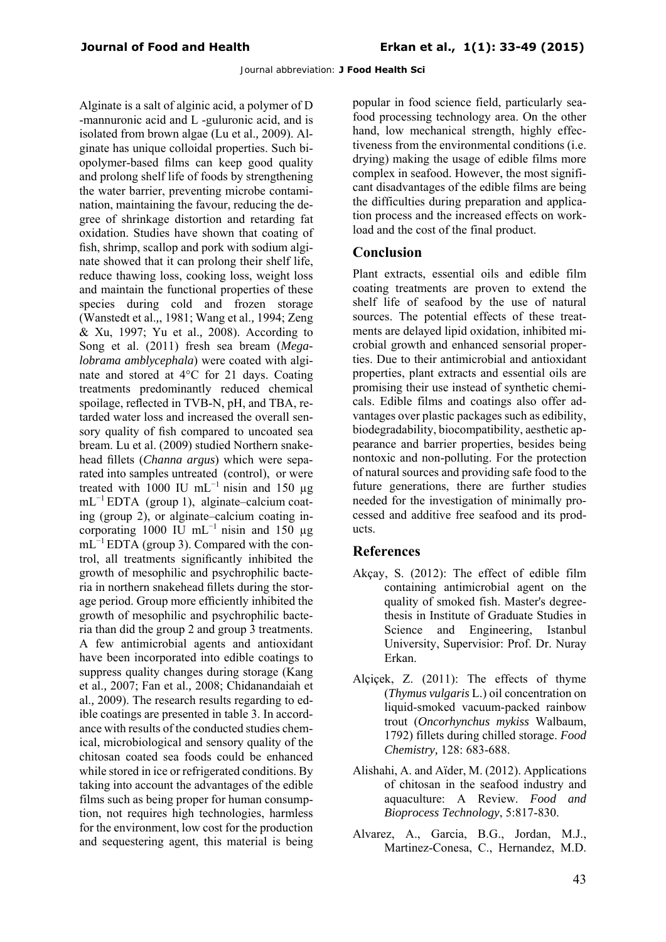Alginate is a salt of alginic acid, a polymer of D -mannuronic acid and L -guluronic acid, and is isolated from brown algae (Lu et al.*,* 2009). Alginate has unique colloidal properties. Such biopolymer-based films can keep good quality and prolong shelf life of foods by strengthening the water barrier, preventing microbe contamination, maintaining the favour, reducing the degree of shrinkage distortion and retarding fat oxidation. Studies have shown that coating of fish, shrimp, scallop and pork with sodium alginate showed that it can prolong their shelf life, reduce thawing loss, cooking loss, weight loss and maintain the functional properties of these species during cold and frozen storage (Wanstedt et al.*,*, 1981; Wang et al.*,* 1994; Zeng & Xu, 1997; Yu et al.*,* 2008). According to Song et al. (2011) fresh sea bream (*Megalobrama amblycephala*) were coated with alginate and stored at 4°C for 21 days. Coating treatments predominantly reduced chemical spoilage, reflected in TVB-N, pH, and TBA, retarded water loss and increased the overall sensory quality of fish compared to uncoated sea bream. Lu et al. (2009) studied Northern snakehead fillets (*Channa argus*) which were separated into samples untreated (control), or were treated with 1000 IU mL<sup>-1</sup> nisin and 150 µg mL−1 EDTA (group 1), alginate–calcium coating (group 2), or alginate–calcium coating incorporating 1000 IU mL<sup> $-1$ </sup> nisin and 150 µg mL<sup>-1</sup> EDTA (group 3). Compared with the control, all treatments significantly inhibited the growth of mesophilic and psychrophilic bacteria in northern snakehead fillets during the storage period. Group more efficiently inhibited the growth of mesophilic and psychrophilic bacteria than did the group 2 and group 3 treatments. A few antimicrobial agents and antioxidant have been incorporated into edible coatings to suppress quality changes during storage (Kang et al.*,* 2007; Fan et al.*,* 2008; Chidanandaiah et al.*,* 2009). The research results regarding to edible coatings are presented in table 3. In accordance with results of the conducted studies chemical, microbiological and sensory quality of the chitosan coated sea foods could be enhanced while stored in ice or refrigerated conditions. By taking into account the advantages of the edible films such as being proper for human consumption, not requires high technologies, harmless for the environment, low cost for the production and sequestering agent, this material is being

popular in food science field, particularly seafood processing technology area. On the other hand, low mechanical strength, highly effectiveness from the environmental conditions (i.e. drying) making the usage of edible films more complex in seafood. However, the most significant disadvantages of the edible films are being the difficulties during preparation and application process and the increased effects on workload and the cost of the final product.

# **Conclusion**

Plant extracts, essential oils and edible film coating treatments are proven to extend the shelf life of seafood by the use of natural sources. The potential effects of these treatments are delayed lipid oxidation, inhibited microbial growth and enhanced sensorial properties. Due to their antimicrobial and antioxidant properties, plant extracts and essential oils are promising their use instead of synthetic chemicals. Edible films and coatings also offer advantages over plastic packages such as edibility, biodegradability, biocompatibility, aesthetic appearance and barrier properties, besides being nontoxic and non-polluting. For the protection of natural sources and providing safe food to the future generations, there are further studies needed for the investigation of minimally processed and additive free seafood and its products.

# **References**

- Akçay, S. (2012): The effect of edible film containing antimicrobial agent on the quality of smoked fish. Master's degreethesis in Institute of Graduate Studies in Science and Engineering, Istanbul University, Supervisior: Prof. Dr. Nuray Erkan.
- Alçiçek, Z. (2011): The effects of thyme (*Thymus vulgaris* L.) oil concentration on liquid-smoked vacuum-packed rainbow trout (*Oncorhynchus mykiss* Walbaum, 1792) fillets during chilled storage. *Food Chemistry,* 128: 683-688.
- Alishahi, A. and Aïder, M. (2012). Applications of chitosan in the seafood industry and aquaculture: A Review. *Food and Bioprocess Technology*, 5:817-830.
- Alvarez, A., Garcia, B.G., Jordan, M.J., Martinez-Conesa, C., Hernandez, M.D.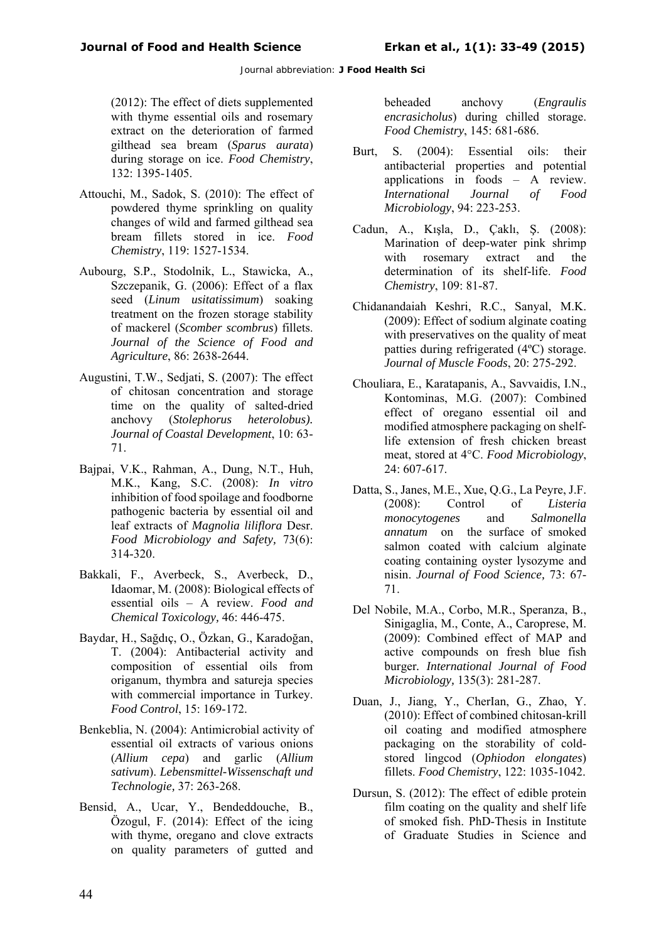(2012): The effect of diets supplemented with thyme essential oils and rosemary extract on the deterioration of farmed gilthead sea bream (*Sparus aurata*) during storage on ice. *Food Chemistry*, 132: 1395-1405.

- Attouchi, M., Sadok, S. (2010): The effect of powdered thyme sprinkling on quality changes of wild and farmed gilthead sea bream fillets stored in ice. *Food Chemistry*, 119: 1527-1534.
- Aubourg, S.P., Stodolnik, L., Stawicka, A., Szczepanik, G. (2006): Effect of a flax seed (*Linum usitatissimum*) soaking treatment on the frozen storage stability of mackerel (*Scomber scombrus*) fillets. *Journal of the Science of Food and Agriculture*, 86: 2638-2644.
- Augustini, T.W., Sedjati, S. (2007): The effect of chitosan concentration and storage time on the quality of salted-dried anchovy (*Stolephorus heterolobus). Journal of Coastal Development*, 10: 63- 71.
- Bajpai, V.K., Rahman, A., Dung, N.T., Huh, M.K., Kang, S.C. (2008): *In vitro* inhibition of food spoilage and foodborne pathogenic bacteria by essential oil and leaf extracts of *Magnolia liliflora* Desr. *Food Microbiology and Safety,* 73(6): 314-320.
- Bakkali, F., Averbeck, S., Averbeck, D., Idaomar, M. (2008): Biological effects of essential oils – A review. *Food and Chemical Toxicology,* 46: 446-475.
- Baydar, H., Sağdıç, O., Özkan, G., Karadoğan, T. (2004): Antibacterial activity and composition of essential oils from origanum, thymbra and satureja species with commercial importance in Turkey. *Food Control*, 15: 169-172.
- Benkeblia, N. (2004): Antimicrobial activity of essential oil extracts of various onions (*Allium cepa*) and garlic (*Allium sativum*). *Lebensmittel-Wissenschaft und Technologie,* 37: 263-268.
- Bensid, A., Ucar, Y., Bendeddouche, B., Özogul, F. (2014): Effect of the icing with thyme, oregano and clove extracts on quality parameters of gutted and

beheaded anchovy (*Engraulis encrasicholus*) during chilled storage. *Food Chemistry*, 145: 681-686.

- Burt, S. (2004): Essential oils: their antibacterial properties and potential applications in foods – A review.<br>International Journal of Food *International Journal of Food Microbiology*, 94: 223-253.
- Cadun, A., Kışla, D., Çaklı, Ş. (2008): Marination of deep-water pink shrimp with rosemary extract and the determination of its shelf-life. *Food Chemistry*, 109: 81-87.
- Chidanandaiah Keshri, R.C., Sanyal, M.K. (2009): Effect of sodium alginate coating with preservatives on the quality of meat patties during refrigerated (4ºC) storage. *Journal of Muscle Foods*, 20: 275-292.
- Chouliara, E., Karatapanis, A., Savvaidis, I.N., Kontominas, M.G. (2007): Combined effect of oregano essential oil and modified atmosphere packaging on shelflife extension of fresh chicken breast meat, stored at 4°C. *Food Microbiology*, 24: 607-617.
- Datta, S., Janes, M.E., Xue, Q.G., La Peyre, J.F. (2008): Control of *Listeria monocytogenes* and *Salmonella annatum* on the surface of smoked salmon coated with calcium alginate coating containing oyster lysozyme and nisin. *Journal of Food Science,* 73: 67- 71.
- Del Nobile, M.A., Corbo, M.R., Speranza, B., Sinigaglia, M., Conte, A., Caroprese, M. (2009): Combined effect of MAP and active compounds on fresh blue fish burger*. International Journal of Food Microbiology,* 135(3): 281-287.
- Duan, J., Jiang, Y., CherIan, G., Zhao, Y. (2010): Effect of combined chitosan-krill oil coating and modified atmosphere packaging on the storability of coldstored lingcod (*Ophiodon elongates*) fillets. *Food Chemistry*, 122: 1035-1042.
- Dursun, S. (2012): The effect of edible protein film coating on the quality and shelf life of smoked fish. PhD-Thesis in Institute of Graduate Studies in Science and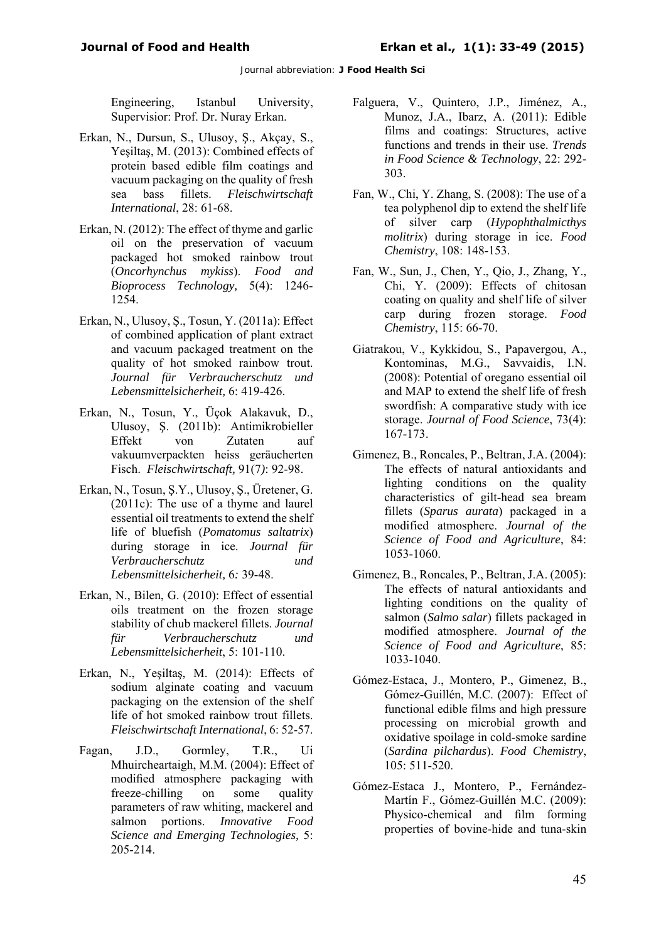Engineering, Istanbul University, Supervisior: Prof. Dr. Nuray Erkan.

- Erkan, N., Dursun, S., Ulusoy, Ş., Akçay, S., Yeşiltaş, M. (2013): Combined effects of protein based edible film coatings and vacuum packaging on the quality of fresh sea bass fillets. *Fleischwirtschaft International*, 28: 61-68.
- Erkan, N. (2012): The effect of thyme and garlic oil on the preservation of vacuum packaged hot smoked rainbow trout (*Oncorhynchus mykiss*). *Food and Bioprocess Technology,* 5(4): 1246- 1254.
- Erkan, N., Ulusoy, Ş., Tosun, Y. (2011a): Effect of combined application of plant extract and vacuum packaged treatment on the quality of hot smoked rainbow trout. *Journal für Verbraucherschutz und Lebensmittelsicherheit,* 6: 419-426.
- Erkan, N., Tosun, Y., Üçok Alakavuk, D., Ulusoy, Ş. (2011b): Antimikrobieller Effekt von Zutaten auf vakuumverpackten heiss geräucherten Fisch. *Fleischwirtschaft,* 91(7*)*: 92-98.
- Erkan, N., Tosun, Ş.Y., Ulusoy, Ş., Üretener, G. (2011c): The use of a thyme and laurel essential oil treatments to extend the shelf life of bluefish (*Pomatomus saltatrix*) during storage in ice. *Journal für Verbraucherschutz und Lebensmittelsicherheit,* 6*:* 39-48.
- Erkan, N., Bilen, G. (2010): Effect of essential oils treatment on the frozen storage stability of chub mackerel fillets. *Journal für Verbraucherschutz und Lebensmittelsicherheit*, 5: 101-110.
- Erkan, N., Yeşiltaş, M. (2014): Effects of sodium alginate coating and vacuum packaging on the extension of the shelf life of hot smoked rainbow trout fillets. *Fleischwirtschaft International*, 6: 52-57.
- Fagan, J.D., Gormley, T.R., Mhuircheartaigh, M.M. (2004): Effect of modified atmosphere packaging with freeze-chilling on some quality parameters of raw whiting, mackerel and salmon portions. *Innovative Food Science and Emerging Technologies,* 5: 205-214.
- Falguera, V., Quintero, J.P., Jiménez, A., Munoz, J.A., Ibarz, A. (2011): Edible films and coatings: Structures, active functions and trends in their use. *Trends in Food Science & Technology*, 22: 292- 303.
- Fan, W., Chi, Y. Zhang, S. (2008): The use of a tea polyphenol dip to extend the shelf life of silver carp (*Hypophthalmicthys molitrix*) during storage in ice. *Food Chemistry*, 108: 148-153.
- Fan, W., Sun, J., Chen, Y., Qio, J., Zhang, Y., Chi, Y. (2009): Effects of chitosan coating on quality and shelf life of silver carp during frozen storage. *Food Chemistry*, 115: 66-70.
- Giatrakou, V., Kykkidou, S., Papavergou, A., Kontominas, M.G., Savvaidis, I.N. (2008): Potential of oregano essential oil and MAP to extend the shelf life of fresh swordfish: A comparative study with ice storage. *Journal of Food Science*, 73(4): 167-173.
- Gimenez, B., Roncales, P., Beltran, J.A. (2004): The effects of natural antioxidants and lighting conditions on the quality characteristics of gilt-head sea bream fillets (*Sparus aurata*) packaged in a modified atmosphere. *Journal of the Science of Food and Agriculture*, 84: 1053-1060.
- Gimenez, B., Roncales, P., Beltran, J.A. (2005): The effects of natural antioxidants and lighting conditions on the quality of salmon (*Salmo salar*) fillets packaged in modified atmosphere. *Journal of the Science of Food and Agriculture*, 85: 1033-1040.
- Gómez-Estaca, J., Montero, P., Gimenez, B., Gómez-Guillén, M.C. (2007): Effect of functional edible films and high pressure processing on microbial growth and oxidative spoilage in cold-smoke sardine (*Sardina pilchardus*). *Food Chemistry*, 105: 511-520.
- Gómez-Estaca J., Montero, P., Fernández-Martín F., Gómez-Guillén M.C. (2009): Physico-chemical and film forming properties of bovine-hide and tuna-skin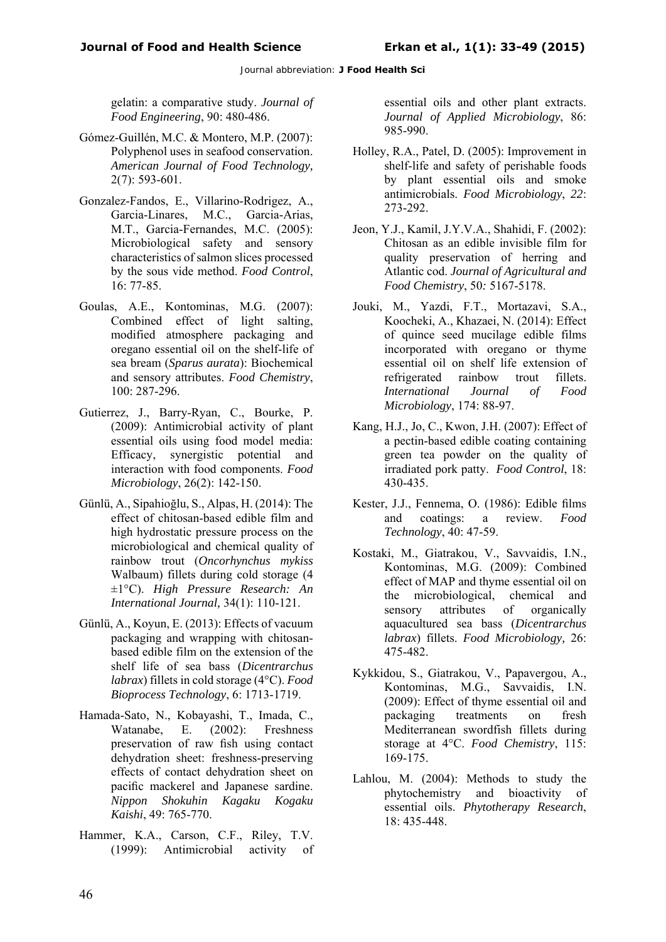gelatin: a comparative study. *Journal of Food Engineering*, 90: 480-486.

- Gómez-Guillén, M.C. & Montero, M.P. (2007): Polyphenol uses in seafood conservation. *American Journal of Food Technology,*  2(7): 593-601.
- Gonzalez-Fandos, E., Villarino-Rodrigez, A., Garcia-Linares, M.C., Garcia-Arias, M.T., Garcia-Fernandes, M.C. (2005): Microbiological safety and sensory characteristics of salmon slices processed by the sous vide method. *Food Control*, 16: 77-85.
- Goulas, A.E., Kontominas, M.G. (2007): Combined effect of light salting, modified atmosphere packaging and oregano essential oil on the shelf-life of sea bream (*Sparus aurata*): Biochemical and sensory attributes. *Food Chemistry*, 100: 287-296.
- Gutierrez, J., Barry-Ryan, C., Bourke, P. (2009): Antimicrobial activity of plant essential oils using food model media: Efficacy, synergistic potential and interaction with food components. *Food Microbiology*, 26(2): 142-150.
- Günlü, A., Sipahioğlu, S., Alpas, H. (2014): The effect of chitosan-based edible film and high hydrostatic pressure process on the microbiological and chemical quality of rainbow trout (*Oncorhynchus mykiss* Walbaum) fillets during cold storage (4 ±1°C). *High Pressure Research: An International Journal,* 34(1): 110-121.
- Günlü, A., Koyun, E. (2013): Effects of vacuum packaging and wrapping with chitosanbased edible film on the extension of the shelf life of sea bass (*Dicentrarchus labrax*) fillets in cold storage (4°C). *Food Bioprocess Technology*, 6: 1713-1719.
- Hamada-Sato, N., Kobayashi, T., Imada, C., Watanabe, E. (2002): Freshness preservation of raw fish using contact dehydration sheet: freshness-preserving effects of contact dehydration sheet on pacific mackerel and Japanese sardine. *Nippon Shokuhin Kagaku Kogaku Kaishi*, 49: 765-770.
- Hammer, K.A., Carson, C.F., Riley, T.V. (1999): Antimicrobial activity of

essential oils and other plant extracts. *Journal of Applied Microbiology*, 86: 985-990.

- Holley, R.A., Patel, D. (2005): Improvement in shelf-life and safety of perishable foods by plant essential oils and smoke antimicrobials. *Food Microbiology*, *22*: 273-292.
- Jeon, Y.J., Kamil, J.Y.V.A., Shahidi, F. (2002): Chitosan as an edible invisible film for quality preservation of herring and Atlantic cod. *Journal of Agricultural and Food Chemistry*, 50*:* 5167-5178.
- Jouki, M., Yazdi, F.T., Mortazavi, S.A., Koocheki, A., Khazaei, N. (2014): Effect of quince seed mucilage edible films incorporated with oregano or thyme essential oil on shelf life extension of refrigerated rainbow trout fillets. *International Journal of Food Microbiology*, 174: 88-97.
- Kang, H.J., Jo, C., Kwon, J.H. (2007): Effect of a pectin-based edible coating containing green tea powder on the quality of irradiated pork patty. *Food Control*, 18: 430-435.
- Kester, J.J., Fennema, O. (1986): Edible films and coatings: a review. *Food Technology*, 40: 47-59.
- Kostaki, M., Giatrakou, V., Savvaidis, I.N., Kontominas, M.G. (2009): Combined effect of MAP and thyme essential oil on the microbiological, chemical and sensory attributes of organically aquacultured sea bass (*Dicentrarchus labrax*) fillets. *Food Microbiology,* 26: 475-482.
- Kykkidou, S., Giatrakou, V., Papavergou, A., Kontominas, M.G., Savvaidis, I.N. (2009): Effect of thyme essential oil and packaging treatments on fresh Mediterranean swordfish fillets during storage at 4°C. *Food Chemistry*, 115: 169-175.
- Lahlou, M. (2004): Methods to study the phytochemistry and bioactivity of essential oils. *Phytotherapy Research*, 18: 435-448.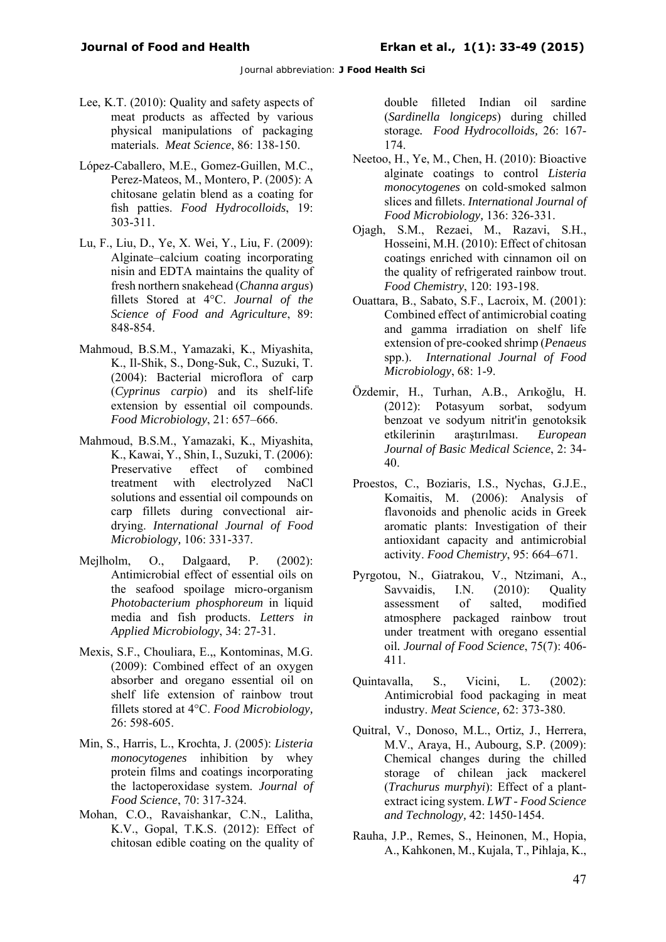- Lee, K.T. (2010): Quality and safety aspects of meat products as affected by various physical manipulations of packaging materials. *Meat Science*, 86: 138-150.
- López-Caballero, M.E., Gomez-Guillen, M.C., Perez-Mateos, M., Montero, P. (2005): A chitosane gelatin blend as a coating for fish patties. *Food Hydrocolloids*, 19: 303-311.
- Lu, F., Liu, D., Ye, X. Wei, Y., Liu, F. (2009): Alginate–calcium coating incorporating nisin and EDTA maintains the quality of fresh northern snakehead (*Channa argus*) fillets Stored at 4°C. *Journal of the Science of Food and Agriculture*, 89: 848-854.
- Mahmoud, B.S.M., Yamazaki, K., Miyashita, K., Il-Shik, S., Dong-Suk, C., Suzuki, T. (2004): Bacterial microflora of carp (*Cyprinus carpio*) and its shelf-life extension by essential oil compounds. *Food Microbiology*, 21: 657–666.
- Mahmoud, B.S.M., Yamazaki, K., Miyashita, K., Kawai, Y., Shin, I., Suzuki, T. (2006): Preservative effect of combined treatment with electrolyzed NaCl solutions and essential oil compounds on carp fillets during convectional airdrying. *International Journal of Food Microbiology,* 106: 331-337.
- Mejlholm, O., Dalgaard, P. (2002): Antimicrobial effect of essential oils on the seafood spoilage micro-organism *Photobacterium phosphoreum* in liquid media and fish products. *Letters in Applied Microbiology*, 34: 27-31.
- Mexis, S.F., Chouliara, E.,, Kontominas, M.G. (2009): Combined effect of an oxygen absorber and oregano essential oil on shelf life extension of rainbow trout fillets stored at 4°C. *Food Microbiology,* 26: 598-605.
- Min, S., Harris, L., Krochta, J. (2005): *Listeria monocytogenes* inhibition by whey protein films and coatings incorporating the lactoperoxidase system. *Journal of Food Science*, 70: 317-324.
- Mohan, C.O., Ravaishankar, C.N., Lalitha, K.V., Gopal, T.K.S. (2012): Effect of chitosan edible coating on the quality of

double filleted Indian oil sardine (*Sardinella longiceps*) during chilled storage*. Food Hydrocolloids,* 26: 167- 174.

- Neetoo, H., Ye, M., Chen, H. (2010): Bioactive alginate coatings to control *Listeria monocytogenes* on cold-smoked salmon slices and fillets. *International Journal of Food Microbiology,* 136: 326-331.
- Ojagh, S.M., Rezaei, M., Razavi, S.H., Hosseini, M.H. (2010): Effect of chitosan coatings enriched with cinnamon oil on the quality of refrigerated rainbow trout. *Food Chemistry*, 120: 193-198.
- Ouattara, B., Sabato, S.F., Lacroix, M. (2001): Combined effect of antimicrobial coating and gamma irradiation on shelf life extension of pre-cooked shrimp (*Penaeus* spp.). *International Journal of Food Microbiology*, 68: 1-9.
- Özdemir, H., Turhan, A.B., Arıkoğlu, H. (2012): Potasyum sorbat, sodyum benzoat ve sodyum nitrit'in genotoksik etkilerinin araştırılması. *European Journal of Basic Medical Science*, 2: 34- 40.
- Proestos, C., Boziaris, I.S., Nychas, G.J.E., Komaitis, M. (2006): Analysis of flavonoids and phenolic acids in Greek aromatic plants: Investigation of their antioxidant capacity and antimicrobial activity. *Food Chemistry*, 95: 664–671.
- Pyrgotou, N., Giatrakou, V., Ntzimani, A., Savvaidis, I.N. (2010): Quality assessment of salted, modified atmosphere packaged rainbow trout under treatment with oregano essential oil*. Journal of Food Science*, 75(7): 406- 411.
- Quintavalla, S., Vicini, L. (2002): Antimicrobial food packaging in meat industry. *Meat Science,* 62: 373-380.
- Quitral, V., Donoso, M.L., Ortiz, J., Herrera, M.V., Araya, H., Aubourg, S.P. (2009): Chemical changes during the chilled storage of chilean jack mackerel (*Trachurus murphyi*): Effect of a plantextract icing system. *LWT - Food Science and Technology,* 42: 1450-1454.
- Rauha, J.P., Remes, S., Heinonen, M., Hopia, A., Kahkonen, M., Kujala, T., Pihlaja, K.,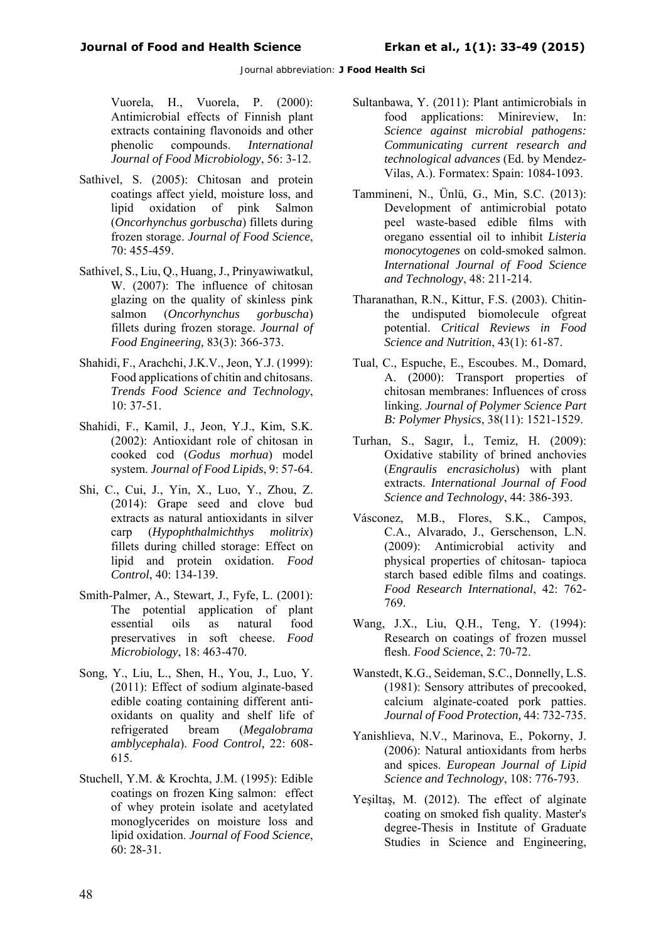Vuorela, H., Vuorela, P. (2000): Antimicrobial effects of Finnish plant extracts containing flavonoids and other phenolic compounds. *International Journal of Food Microbiology*, 56: 3-12.

- Sathivel, S. (2005): Chitosan and protein coatings affect yield, moisture loss, and lipid oxidation of pink Salmon (*Oncorhynchus gorbuscha*) fillets during frozen storage. *Journal of Food Science*, 70: 455-459.
- Sathivel, S., Liu, Q., Huang, J., Prinyawiwatkul, W. (2007): The influence of chitosan glazing on the quality of skinless pink salmon (*Oncorhynchus gorbuscha*) fillets during frozen storage. *Journal of Food Engineering,* 83(3): 366-373.
- Shahidi, F., Arachchi, J.K.V., Jeon, Y.J. (1999): Food applications of chitin and chitosans. *Trends Food Science and Technology*, 10: 37-51.
- Shahidi, F., Kamil, J., Jeon, Y.J., Kim, S.K. (2002): Antioxidant role of chitosan in cooked cod (*Godus morhua*) model system. *Journal of Food Lipids*, 9: 57-64.
- Shi, C., Cui, J., Yin, X., Luo, Y., Zhou, Z. (2014): Grape seed and clove bud extracts as natural antioxidants in silver carp (*Hypophthalmichthys molitrix*) fillets during chilled storage: Effect on lipid and protein oxidation. *Food Control*, 40: 134-139.
- Smith-Palmer, A., Stewart, J., Fyfe, L. (2001): The potential application of plant essential oils as natural food preservatives in soft cheese. *Food Microbiology*, 18: 463-470.
- Song, Y., Liu, L., Shen, H., You, J., Luo, Y. (2011): Effect of sodium alginate-based edible coating containing different antioxidants on quality and shelf life of refrigerated bream (*Megalobrama amblycephala*). *Food Control,* 22: 608- 615.
- Stuchell, Y.M. & Krochta, J.M. (1995): Edible coatings on frozen King salmon: effect of whey protein isolate and acetylated monoglycerides on moisture loss and lipid oxidation. *Journal of Food Science*, 60: 28-31.
- Sultanbawa, Y. (2011): Plant antimicrobials in food applications: Minireview, In: *Science against microbial pathogens: Communicating current research and technological advances* (Ed. by Mendez-Vilas, A.). Formatex: Spain: 1084-1093.
- Tammineni, N., Ünlü, G., Min, S.C. (2013): Development of antimicrobial potato peel waste-based edible films with oregano essential oil to inhibit *Listeria monocytogenes* on cold-smoked salmon. *International Journal of Food Science and Technology*, 48: 211-214.
- Tharanathan, R.N., Kittur, F.S. (2003). Chitinthe undisputed biomolecule ofgreat potential. *Critical Reviews in Food Science and Nutrition*, 43(1): 61-87.
- Tual, C., Espuche, E., Escoubes. M., Domard, A. (2000): Transport properties of chitosan membranes: Influences of cross linking. *Journal of Polymer Science Part B: Polymer Physics*, 38(11): 1521-1529.
- Turhan, S., Sagır, İ., Temiz, H. (2009): Oxidative stability of brined anchovies (*Engraulis encrasicholus*) with plant extracts. *International Journal of Food Science and Technology*, 44: 386-393.
- Vásconez, M.B., Flores, S.K., Campos, C.A., Alvarado, J., Gerschenson, L.N. (2009): Antimicrobial activity and physical properties of chitosan- tapioca starch based edible films and coatings. *Food Research International*, 42: 762- 769.
- Wang, J.X., Liu, Q.H., Teng, Y. (1994): Research on coatings of frozen mussel flesh. *Food Science*, 2: 70-72.
- Wanstedt, K.G., Seideman, S.C., Donnelly, L.S. (1981): Sensory attributes of precooked, calcium alginate-coated pork patties. *Journal of Food Protection,* 44: 732-735.
- Yanishlieva, N.V., Marinova, E., Pokorny, J. (2006): Natural antioxidants from herbs and spices. *European Journal of Lipid Science and Technology*, 108: 776-793.
- Yeşiltaş, M. (2012). The effect of alginate coating on smoked fish quality. Master's degree-Thesis in Institute of Graduate Studies in Science and Engineering,